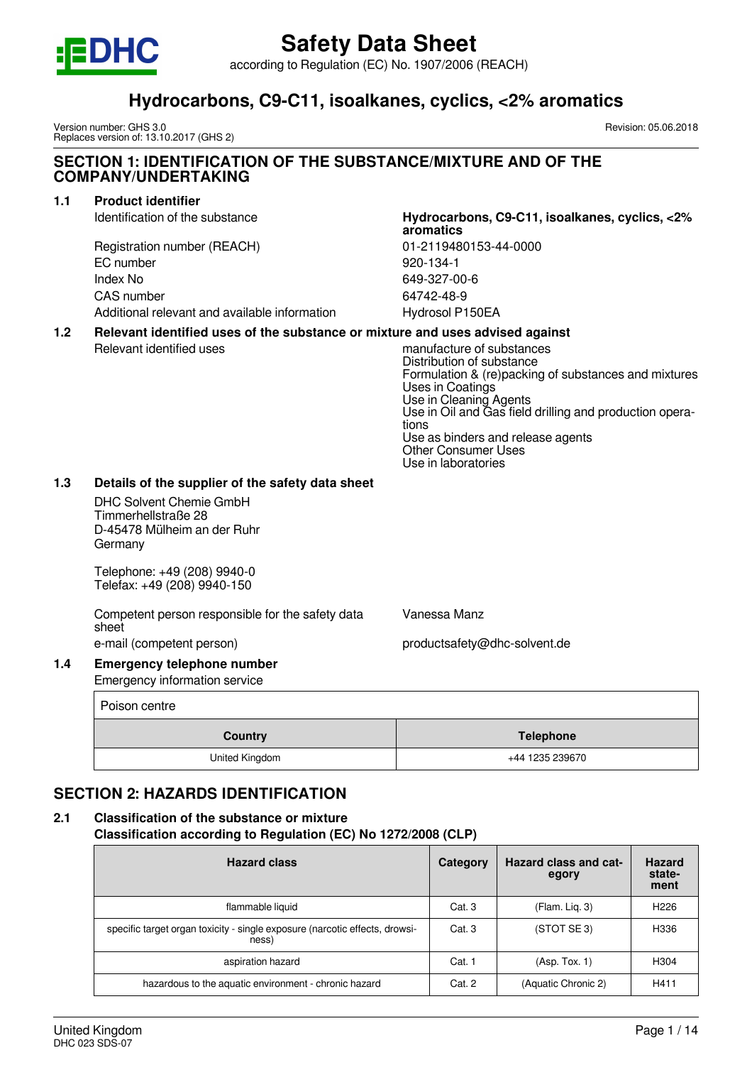

according to Regulation (EC) No. 1907/2006 (REACH)

## **Hydrocarbons, C9-C11, isoalkanes, cyclics, <2% aromatics**

Version number: GHS 3.0 Replaces version of: 13.10.2017 (GHS 2) Revision: 05.06.2018

#### **SECTION 1: IDENTIFICATION OF THE SUBSTANCE/MIXTURE AND OF THE COMPANY/UNDERTAKING**

#### **1.1 Product identifier**

Registration number (REACH) 01-2119480153-44-0000 EC number 920-134-1 Index No 649-327-00-6 CAS number 64742-48-9 Additional relevant and available information Hydrosol P150EA

## Identification of the substance **Hydrocarbons, C9-C11, isoalkanes, cyclics, <2% aromatics**

#### **1.2 Relevant identified uses of the substance or mixture and uses advised against**

Relevant identified uses manufacture of substances Distribution of substance Formulation & (re)packing of substances and mixtures Uses in Coatings Use in Cleaning Agents Use in Oil and Gas field drilling and production operations Use as binders and release agents Other Consumer Uses Use in laboratories

#### **1.3 Details of the supplier of the safety data sheet**

DHC Solvent Chemie GmbH Timmerhellstraße 28 D-45478 Mülheim an der Ruhr Germany

Telephone: +49 (208) 9940-0 Telefax: +49 (208) 9940-150

Competent person responsible for the safety data sheet e-mail (competent person) e-mail (competent person)

Vanessa Manz

#### **1.4 Emergency telephone number** Emergency information service

|         | Poison centre  |                  |
|---------|----------------|------------------|
| Country |                | <b>Telephone</b> |
|         | United Kingdom | +44 1235 239670  |

## **SECTION 2: HAZARDS IDENTIFICATION**

## **2.1 Classification of the substance or mixture**

**Classification according to Regulation (EC) No 1272/2008 (CLP)**

| <b>Hazard class</b>                                                                  | Category | <b>Hazard class and cat-</b><br>egory | <b>Hazard</b><br>state-<br>ment |
|--------------------------------------------------------------------------------------|----------|---------------------------------------|---------------------------------|
| flammable liquid                                                                     | Cat. 3   | (Flam. Lig. 3)                        | H <sub>226</sub>                |
| specific target organ toxicity - single exposure (narcotic effects, drowsi-<br>ness) | Cat.3    | (STOT SE 3)                           | H336                            |
| aspiration hazard                                                                    | Cat. 1   | (Asp. Tox. 1)                         | H <sub>304</sub>                |
| hazardous to the aquatic environment - chronic hazard                                | Cat. 2   | (Aquatic Chronic 2)                   | H411                            |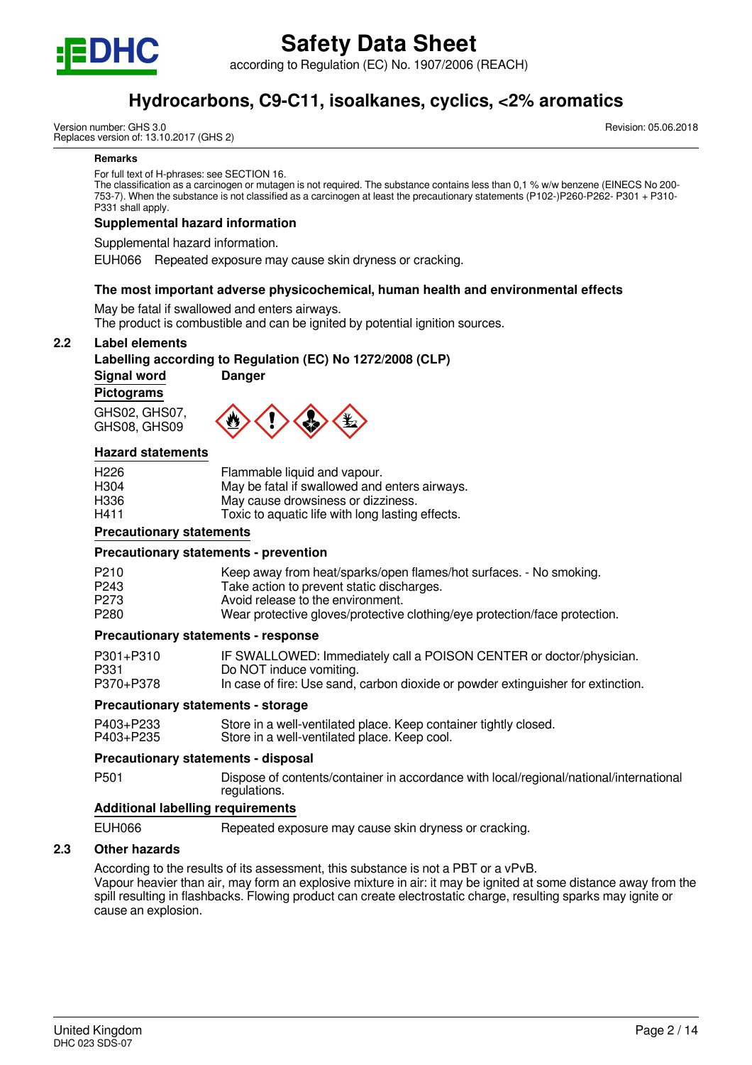

according to Regulation (EC) No. 1907/2006 (REACH)

## **Hydrocarbons, C9-C11, isoalkanes, cyclics, <2% aromatics**

Version number: GHS 3.0 Replaces version of: 13.10.2017 (GHS 2) Revision: 05.06.2018

#### **Remarks**

For full text of H-phrases: see SECTION 16.

The classification as a carcinogen or mutagen is not required. The substance contains less than 0,1 % w/w benzene (EINECS No 200- 753-7). When the substance is not classified as a carcinogen at least the precautionary statements (P102-)P260-P262- P301 + P310- P331 shall apply.

#### **Supplemental hazard information**

Supplemental hazard information.

EUH066 Repeated exposure may cause skin dryness or cracking.

#### **The most important adverse physicochemical, human health and environmental effects**

May be fatal if swallowed and enters airways.

The product is combustible and can be ignited by potential ignition sources.

#### **2.2 Label elements**

#### **Labelling according to Regulation (EC) No 1272/2008 (CLP)**

**Signal word Danger**

**Pictograms**

GHS02, GHS07, GHS08, GHS09



#### **Hazard statements**

| H <sub>226</sub> | Flammable liquid and vapour.                     |
|------------------|--------------------------------------------------|
| H <sub>304</sub> | May be fatal if swallowed and enters airways.    |
| H <sub>336</sub> | May cause drowsiness or dizziness.               |
| H411             | Toxic to aquatic life with long lasting effects. |

#### **Precautionary statements**

#### **Precautionary statements - prevention**

| P <sub>210</sub><br>P <sub>243</sub> | Keep away from heat/sparks/open flames/hot surfaces. - No smoking.<br>Take action to prevent static discharges. |
|--------------------------------------|-----------------------------------------------------------------------------------------------------------------|
| P <sub>273</sub>                     | Avoid release to the environment.                                                                               |
| P <sub>280</sub>                     | Wear protective gloves/protective clothing/eye protection/face protection.                                      |

#### **Precautionary statements - response**

| P301+P310 | IF SWALLOWED: Immediately call a POISON CENTER or doctor/physician.              |
|-----------|----------------------------------------------------------------------------------|
| P331      | Do NOT induce vomiting.                                                          |
| P370+P378 | In case of fire: Use sand, carbon dioxide or powder extinguisher for extinction. |

#### **Precautionary statements - storage**

| P403+P233 | Store in a well-ventilated place. Keep container tightly closed. |
|-----------|------------------------------------------------------------------|
| P403+P235 | Store in a well-ventilated place. Keep cool.                     |

#### **Precautionary statements - disposal**

P501 Dispose of contents/container in accordance with local/regional/national/international regulations.

#### **Additional labelling requirements**

EUH066 Repeated exposure may cause skin dryness or cracking.

#### **2.3 Other hazards**

According to the results of its assessment, this substance is not a PBT or a vPvB. Vapour heavier than air, may form an explosive mixture in air: it may be ignited at some distance away from the spill resulting in flashbacks. Flowing product can create electrostatic charge, resulting sparks may ignite or cause an explosion.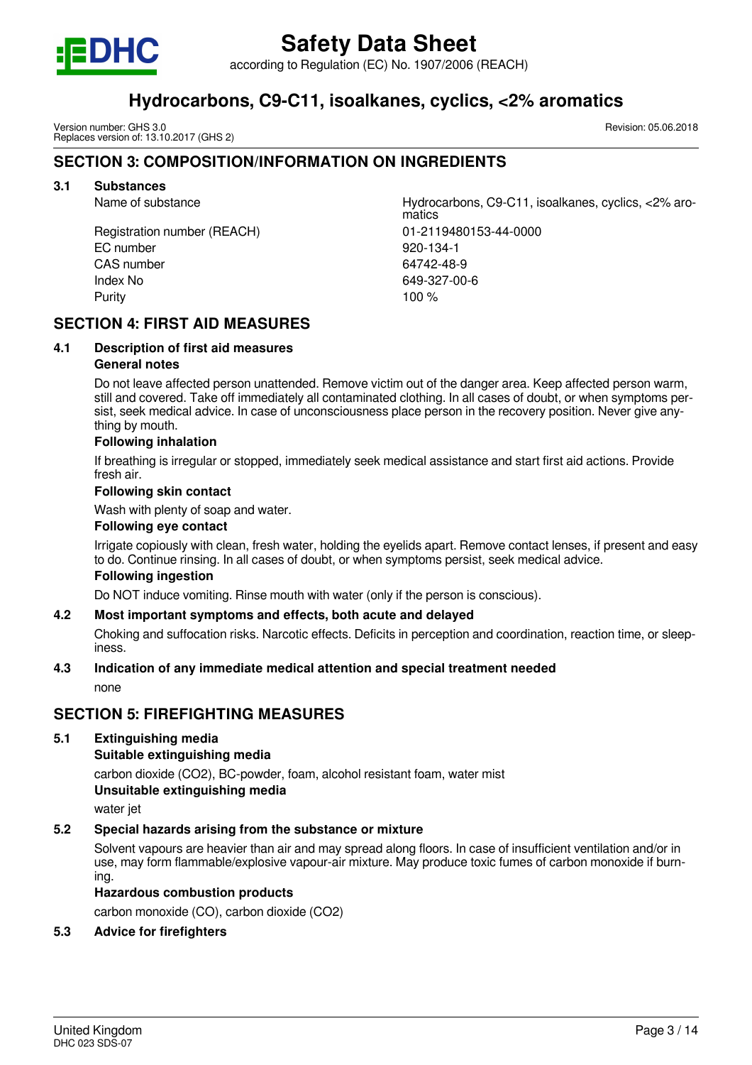

according to Regulation (EC) No. 1907/2006 (REACH)

## **Hydrocarbons, C9-C11, isoalkanes, cyclics, <2% aromatics**

Version number: GHS 3.0 Replaces version of: 13.10.2017 (GHS 2)

### **SECTION 3: COMPOSITION/INFORMATION ON INGREDIENTS**

#### **3.1 Substances**

Registration number (REACH) 01-2119480153-44-0000 EC number 920-134-1 CAS number 64742-48-9 Index No 649-327-00-6 Purity **100 %** 

Name of substance Hydrocarbons, C9-C11, isoalkanes, cyclics, <2% aromatics

## **SECTION 4: FIRST AID MEASURES**

#### **4.1 Description of first aid measures General notes**

Do not leave affected person unattended. Remove victim out of the danger area. Keep affected person warm, still and covered. Take off immediately all contaminated clothing. In all cases of doubt, or when symptoms persist, seek medical advice. In case of unconsciousness place person in the recovery position. Never give anything by mouth.

#### **Following inhalation**

If breathing is irregular or stopped, immediately seek medical assistance and start first aid actions. Provide fresh air.

#### **Following skin contact**

Wash with plenty of soap and water.

#### **Following eye contact**

Irrigate copiously with clean, fresh water, holding the eyelids apart. Remove contact lenses, if present and easy to do. Continue rinsing. In all cases of doubt, or when symptoms persist, seek medical advice.

#### **Following ingestion**

Do NOT induce vomiting. Rinse mouth with water (only if the person is conscious).

#### **4.2 Most important symptoms and effects, both acute and delayed**

Choking and suffocation risks. Narcotic effects. Deficits in perception and coordination, reaction time, or sleepiness.

#### **4.3 Indication of any immediate medical attention and special treatment needed**

none

#### **SECTION 5: FIREFIGHTING MEASURES**

#### **5.1 Extinguishing media**

#### **Suitable extinguishing media**

carbon dioxide (CO2), BC-powder, foam, alcohol resistant foam, water mist **Unsuitable extinguishing media**

water jet

## **5.2 Special hazards arising from the substance or mixture**

Solvent vapours are heavier than air and may spread along floors. In case of insufficient ventilation and/or in use, may form flammable/explosive vapour-air mixture. May produce toxic fumes of carbon monoxide if burning.

#### **Hazardous combustion products**

carbon monoxide (CO), carbon dioxide (CO2)

#### **5.3 Advice for firefighters**

Revision: 05.06.2018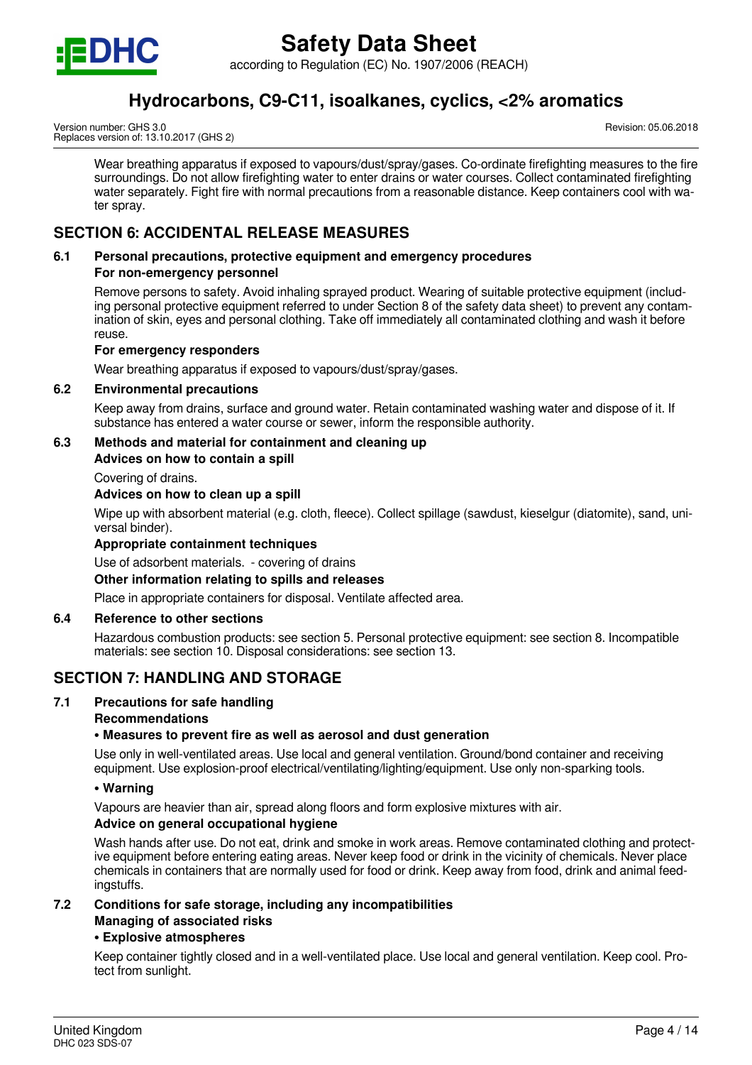

according to Regulation (EC) No. 1907/2006 (REACH)

## **Hydrocarbons, C9-C11, isoalkanes, cyclics, <2% aromatics**

Version number: GHS 3.0 Replaces version of: 13.10.2017 (GHS 2) Revision: 05.06.2018

Wear breathing apparatus if exposed to vapours/dust/spray/gases. Co-ordinate firefighting measures to the fire surroundings. Do not allow firefighting water to enter drains or water courses. Collect contaminated firefighting water separately. Fight fire with normal precautions from a reasonable distance. Keep containers cool with water spray.

## **SECTION 6: ACCIDENTAL RELEASE MEASURES**

## **6.1 Personal precautions, protective equipment and emergency procedures**

#### **For non-emergency personnel**

Remove persons to safety. Avoid inhaling sprayed product. Wearing of suitable protective equipment (including personal protective equipment referred to under Section 8 of the safety data sheet) to prevent any contamination of skin, eyes and personal clothing. Take off immediately all contaminated clothing and wash it before reuse.

#### **For emergency responders**

Wear breathing apparatus if exposed to vapours/dust/spray/gases.

#### **6.2 Environmental precautions**

Keep away from drains, surface and ground water. Retain contaminated washing water and dispose of it. If substance has entered a water course or sewer, inform the responsible authority.

#### **6.3 Methods and material for containment and cleaning up**

**Advices on how to contain a spill**

Covering of drains.

#### **Advices on how to clean up a spill**

Wipe up with absorbent material (e.g. cloth, fleece). Collect spillage (sawdust, kieselgur (diatomite), sand, universal binder).

#### **Appropriate containment techniques**

Use of adsorbent materials. - covering of drains

#### **Other information relating to spills and releases**

Place in appropriate containers for disposal. Ventilate affected area.

#### **6.4 Reference to other sections**

Hazardous combustion products: see section 5. Personal protective equipment: see section 8. Incompatible materials: see section 10. Disposal considerations: see section 13.

## **SECTION 7: HANDLING AND STORAGE**

#### **7.1 Precautions for safe handling**

#### **Recommendations**

#### **• Measures to prevent fire as well as aerosol and dust generation**

Use only in well-ventilated areas. Use local and general ventilation. Ground/bond container and receiving equipment. Use explosion-proof electrical/ventilating/lighting/equipment. Use only non-sparking tools.

#### **• Warning**

Vapours are heavier than air, spread along floors and form explosive mixtures with air.

#### **Advice on general occupational hygiene**

Wash hands after use. Do not eat, drink and smoke in work areas. Remove contaminated clothing and protective equipment before entering eating areas. Never keep food or drink in the vicinity of chemicals. Never place chemicals in containers that are normally used for food or drink. Keep away from food, drink and animal feedingstuffs.

#### **7.2 Conditions for safe storage, including any incompatibilities Managing of associated risks**

#### **• Explosive atmospheres**

Keep container tightly closed and in a well-ventilated place. Use local and general ventilation. Keep cool. Protect from sunlight.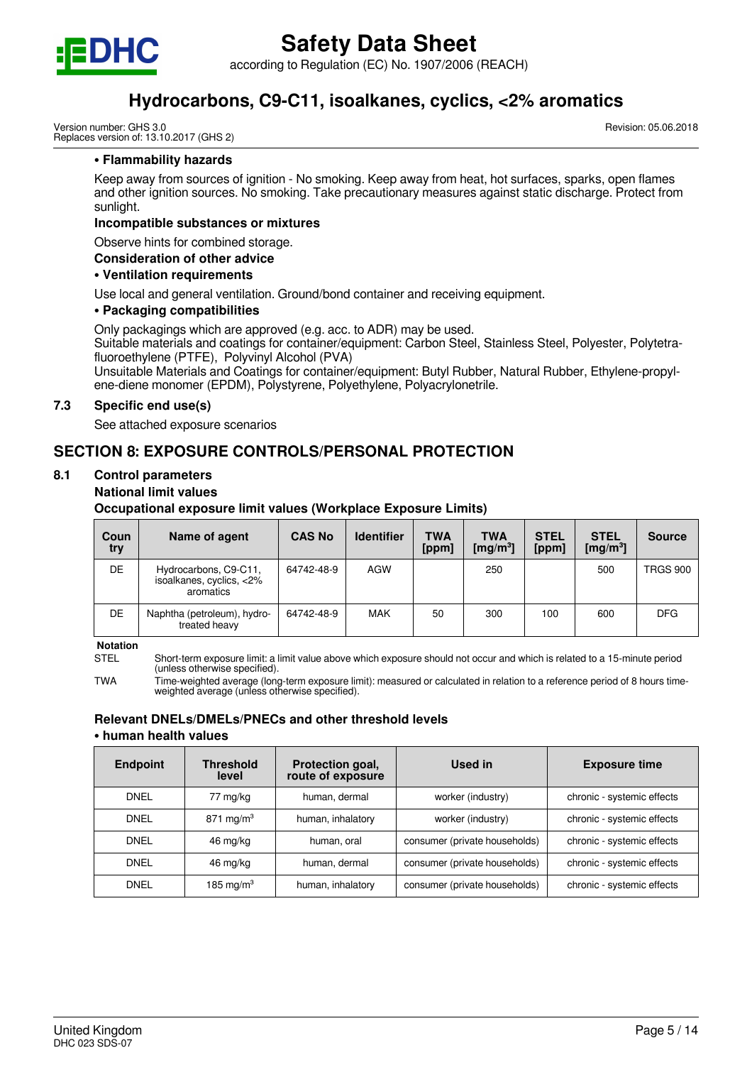

according to Regulation (EC) No. 1907/2006 (REACH)

## **Hydrocarbons, C9-C11, isoalkanes, cyclics, <2% aromatics**

Version number: GHS 3.0 Replaces version of: 13.10.2017 (GHS 2) Revision: 05.06.2018

#### **• Flammability hazards**

Keep away from sources of ignition - No smoking. Keep away from heat, hot surfaces, sparks, open flames and other ignition sources. No smoking. Take precautionary measures against static discharge. Protect from sunlight.

#### **Incompatible substances or mixtures**

Observe hints for combined storage.

#### **Consideration of other advice**

#### **• Ventilation requirements**

Use local and general ventilation. Ground/bond container and receiving equipment.

#### **• Packaging compatibilities**

Only packagings which are approved (e.g. acc. to ADR) may be used.

Suitable materials and coatings for container/equipment: Carbon Steel, Stainless Steel, Polyester, Polytetrafluoroethylene (PTFE), Polyvinyl Alcohol (PVA)

Unsuitable Materials and Coatings for container/equipment: Butyl Rubber, Natural Rubber, Ethylene-propylene-diene monomer (EPDM), Polystyrene, Polyethylene, Polyacrylonetrile.

#### **7.3 Specific end use(s)**

See attached exposure scenarios

## **SECTION 8: EXPOSURE CONTROLS/PERSONAL PROTECTION**

#### **8.1 Control parameters**

#### **National limit values**

**Occupational exposure limit values (Workplace Exposure Limits)**

| Coun<br>try | Name of agent                                                  | <b>CAS No</b> | <b>Identifier</b> | <b>TWA</b><br>[ppm] | <b>TWA</b><br>$\lceil \mathsf{mq/m^3}\rceil$ | <b>STEL</b><br>[ppm] | <b>STEL</b><br>[ $mg/m3$ ] | <b>Source</b>   |
|-------------|----------------------------------------------------------------|---------------|-------------------|---------------------|----------------------------------------------|----------------------|----------------------------|-----------------|
| DE          | Hydrocarbons, C9-C11,<br>isoalkanes, cyclics, <2%<br>aromatics | 64742-48-9    | AGW               |                     | 250                                          |                      | 500                        | <b>TRGS 900</b> |
| DE          | Naphtha (petroleum), hydro-<br>treated heavy                   | 64742-48-9    | <b>MAK</b>        | 50                  | 300                                          | 100                  | 600                        | <b>DFG</b>      |

**Notation**

STEL Short-term exposure limit: a limit value above which exposure should not occur and which is related to a 15-minute period (unless otherwise specified).

TWA Time-weighted average (long-term exposure limit): measured or calculated in relation to a reference period of 8 hours timeweighted average (unless otherwise specified).

#### **Relevant DNELs/DMELs/PNECs and other threshold levels • human health values**

| <b>Endpoint</b> | <b>Threshold</b><br>level | Protection goal,<br>route of exposure | Used in                       | <b>Exposure time</b>       |
|-----------------|---------------------------|---------------------------------------|-------------------------------|----------------------------|
| <b>DNEL</b>     | 77 mg/kg                  | human, dermal                         | worker (industry)             | chronic - systemic effects |
| <b>DNEL</b>     | 871 mg/m <sup>3</sup>     | human, inhalatory                     | worker (industry)             | chronic - systemic effects |
| <b>DNEL</b>     | human, oral<br>46 mg/kg   |                                       | consumer (private households) | chronic - systemic effects |
| <b>DNEL</b>     | 46 mg/kg                  | human, dermal                         | consumer (private households) | chronic - systemic effects |
| <b>DNEL</b>     | 185 mg/m $3$              | human, inhalatory                     | consumer (private households) | chronic - systemic effects |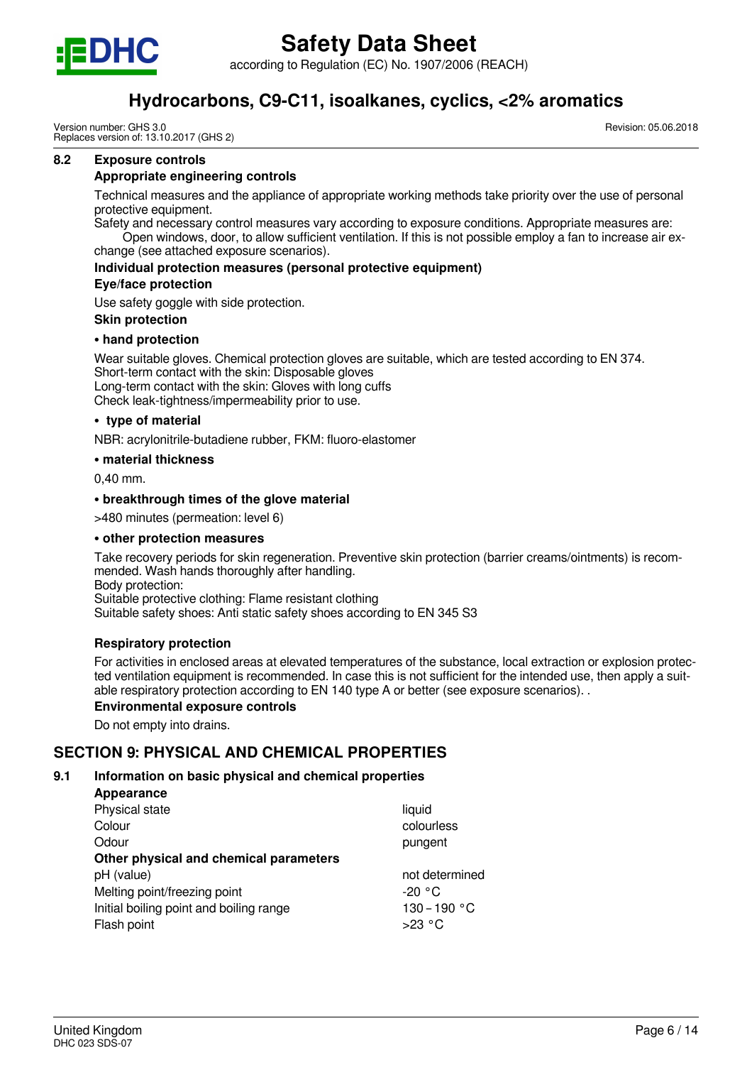

according to Regulation (EC) No. 1907/2006 (REACH)

## **Hydrocarbons, C9-C11, isoalkanes, cyclics, <2% aromatics**

Version number: GHS 3.0 Replaces version of: 13.10.2017 (GHS 2) Revision: 05.06.2018

#### **8.2 Exposure controls**

#### **Appropriate engineering controls**

Technical measures and the appliance of appropriate working methods take priority over the use of personal protective equipment.

Safety and necessary control measures vary according to exposure conditions. Appropriate measures are: Open windows, door, to allow sufficient ventilation. If this is not possible employ a fan to increase air exchange (see attached exposure scenarios).

**Individual protection measures (personal protective equipment)**

#### **Eye/face protection**

Use safety goggle with side protection.

#### **Skin protection**

#### **• hand protection**

Wear suitable gloves. Chemical protection gloves are suitable, which are tested according to EN 374. Short-term contact with the skin: Disposable gloves Long-term contact with the skin: Gloves with long cuffs Check leak-tightness/impermeability prior to use.

#### **• type of material**

NBR: acrylonitrile-butadiene rubber, FKM: fluoro-elastomer

#### **• material thickness**

0,40 mm.

#### **• breakthrough times of the glove material**

>480 minutes (permeation: level 6)

#### **• other protection measures**

Take recovery periods for skin regeneration. Preventive skin protection (barrier creams/ointments) is recommended. Wash hands thoroughly after handling. Body protection: Suitable protective clothing: Flame resistant clothing

Suitable safety shoes: Anti static safety shoes according to EN 345 S3

#### **Respiratory protection**

For activities in enclosed areas at elevated temperatures of the substance, local extraction or explosion protected ventilation equipment is recommended. In case this is not sufficient for the intended use, then apply a suitable respiratory protection according to EN 140 type A or better (see exposure scenarios). .

#### **Environmental exposure controls**

Do not empty into drains.

#### **SECTION 9: PHYSICAL AND CHEMICAL PROPERTIES**

#### **9.1 Information on basic physical and chemical properties**

| Appearance                              |                |
|-----------------------------------------|----------------|
| Physical state                          | liquid         |
| Colour                                  | colourless     |
| Odour                                   | pungent        |
| Other physical and chemical parameters  |                |
| pH (value)                              | not determined |
| Melting point/freezing point            | $-20 °C$       |
| Initial boiling point and boiling range | 130-190 °C     |
| Flash point                             | $>23$ °C       |
|                                         |                |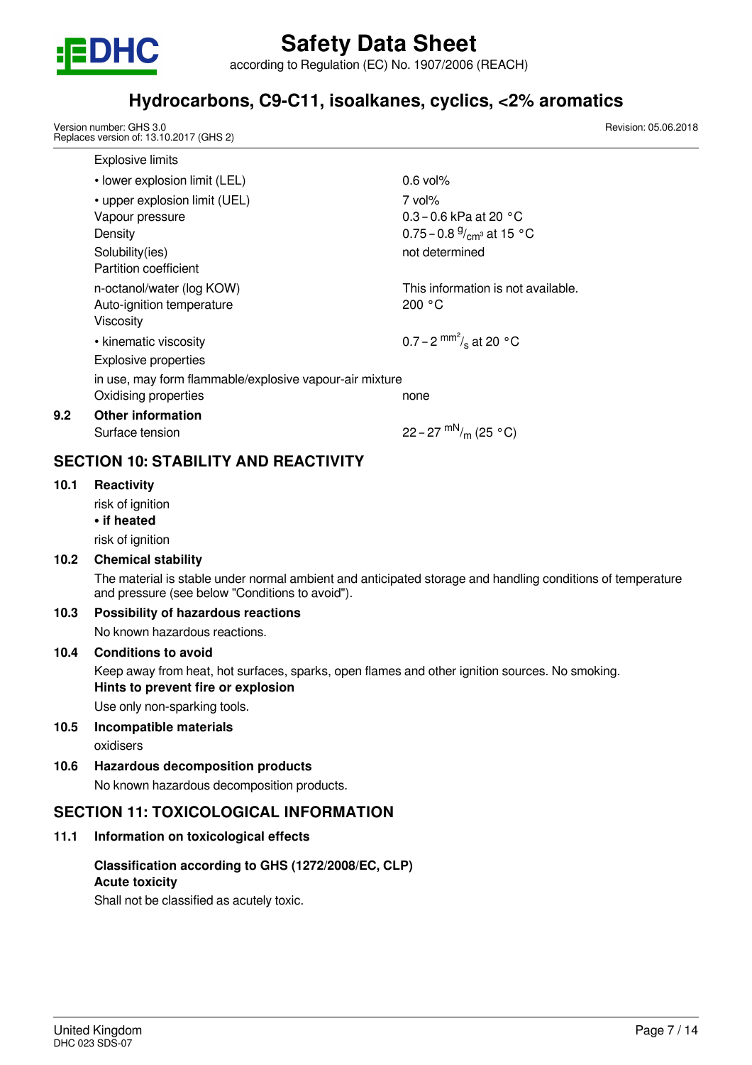

according to Regulation (EC) No. 1907/2006 (REACH)

## **Hydrocarbons, C9-C11, isoalkanes, cyclics, <2% aromatics**

Version number: GHS 3.0 Replaces version of: 13.10.2017 (GHS 2)

| <b>Explosive limits</b>                                 |                                    |
|---------------------------------------------------------|------------------------------------|
| • lower explosion limit (LEL)                           | $0.6$ vol%                         |
| • upper explosion limit (UEL)                           | $7$ vol%                           |
| Vapour pressure                                         | 0.3 – 0.6 kPa at 20 $^{\circ}$ C   |
| Density                                                 | 0.75 – 0.8 $\frac{9}{cm}$ at 15 °C |
| Solubility(ies)                                         | not determined                     |
| Partition coefficient                                   |                                    |
| n-octanol/water (log KOW)                               | This information is not available. |
| Auto-ignition temperature                               | 200 °C                             |
| Viscosity                                               |                                    |
| • kinematic viscosity                                   | 0.7 – 2 $^{mm^2}/_s$ at 20 °C      |
| <b>Explosive properties</b>                             |                                    |
| in use, may form flammable/explosive vapour-air mixture |                                    |
| Oxidising properties                                    | none                               |
| <b>Other information</b>                                |                                    |
| Surface tension                                         | 22 – 27 $\rm{mN}_{\rm{m}}$ (25 °C) |

## **SECTION 10: STABILITY AND REACTIVITY**

#### **10.1 Reactivity**

**9.2 Other information**

risk of ianition

**• if heated**

risk of ignition

#### **10.2 Chemical stability**

The material is stable under normal ambient and anticipated storage and handling conditions of temperature and pressure (see below "Conditions to avoid").

#### **10.3 Possibility of hazardous reactions**

No known hazardous reactions.

#### **10.4 Conditions to avoid**

Keep away from heat, hot surfaces, sparks, open flames and other ignition sources. No smoking. **Hints to prevent fire or explosion**

Use only non-sparking tools.

#### **10.5 Incompatible materials**

oxidisers

**10.6 Hazardous decomposition products**

No known hazardous decomposition products.

## **SECTION 11: TOXICOLOGICAL INFORMATION**

## **11.1 Information on toxicological effects**

#### **Classification according to GHS (1272/2008/EC, CLP) Acute toxicity**

Shall not be classified as acutely toxic.

Revision: 05.06.2018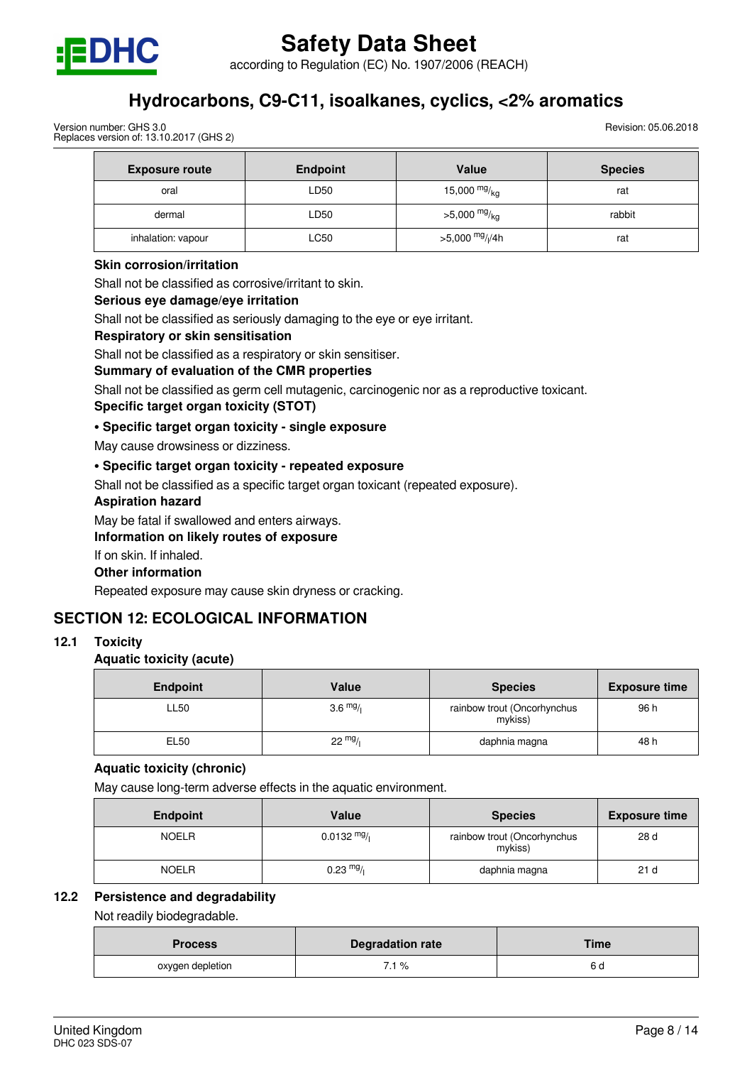

according to Regulation (EC) No. 1907/2006 (REACH)

## **Hydrocarbons, C9-C11, isoalkanes, cyclics, <2% aromatics**

Version number: GHS 3.0 Replaces version of: 13.10.2017 (GHS 2) Revision: 05.06.2018

| <b>Exposure route</b> | <b>Endpoint</b> | Value                       | <b>Species</b> |
|-----------------------|-----------------|-----------------------------|----------------|
| oral                  | LD50            | 15,000 $mg/kg$              | rat            |
| dermal                | LD50            | $>5,000$ mg/ <sub>kg</sub>  | rabbit         |
| inhalation: vapour    | LC50            | >5,000 mg/ <sub>l</sub> /4h | rat            |

#### **Skin corrosion/irritation**

Shall not be classified as corrosive/irritant to skin.

#### **Serious eye damage/eye irritation**

Shall not be classified as seriously damaging to the eye or eye irritant.

#### **Respiratory or skin sensitisation**

Shall not be classified as a respiratory or skin sensitiser.

#### **Summary of evaluation of the CMR properties**

Shall not be classified as germ cell mutagenic, carcinogenic nor as a reproductive toxicant.

#### **Specific target organ toxicity (STOT)**

#### **• Specific target organ toxicity - single exposure**

May cause drowsiness or dizziness.

#### **• Specific target organ toxicity - repeated exposure**

Shall not be classified as a specific target organ toxicant (repeated exposure).

#### **Aspiration hazard**

May be fatal if swallowed and enters airways.

#### **Information on likely routes of exposure**

If on skin. If inhaled.

#### **Other information**

Repeated exposure may cause skin dryness or cracking.

#### **SECTION 12: ECOLOGICAL INFORMATION**

#### **12.1 Toxicity**

#### **Aquatic toxicity (acute)**

| <b>Endpoint</b> | Value              | <b>Species</b>                         | <b>Exposure time</b> |
|-----------------|--------------------|----------------------------------------|----------------------|
| LL50            | $3.6 \frac{mg}{l}$ | rainbow trout (Oncorhynchus<br>mykiss) | 96 h                 |
| EL50            | $22 \frac{mg}{l}$  | daphnia magna                          | 48 h                 |

#### **Aquatic toxicity (chronic)**

May cause long-term adverse effects in the aquatic environment.

| <b>Endpoint</b> | Value                 | <b>Species</b>                         | <b>Exposure time</b> |
|-----------------|-----------------------|----------------------------------------|----------------------|
| <b>NOELR</b>    | $0.0132 \frac{mg}{l}$ | rainbow trout (Oncorhynchus<br>mykiss) | 28 d                 |
| <b>NOELR</b>    | $0.23 \frac{mg}{l}$   | daphnia magna                          | 21 <sub>d</sub>      |

#### **12.2 Persistence and degradability**

Not readily biodegradable.

| <b>Process</b>   | <b>Degradation rate</b> | Time |
|------------------|-------------------------|------|
| oxygen depletion | 7.1 %                   | o a  |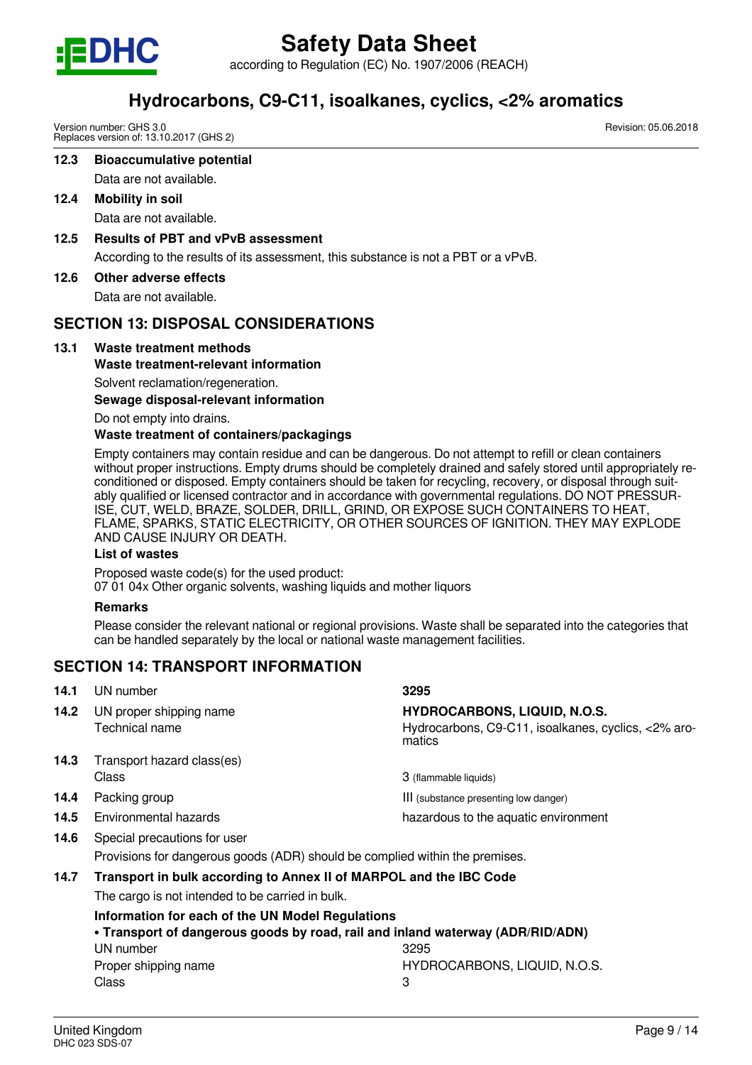

according to Regulation (EC) No. 1907/2006 (REACH)

## **Hydrocarbons, C9-C11, isoalkanes, cyclics, <2% aromatics**

Version number: GHS 3.0 Replaces version of: 13.10.2017 (GHS 2)

**12.3 Bioaccumulative potential**

Data are not available.

**12.4 Mobility in soil**

Data are not available.

**12.5 Results of PBT and vPvB assessment**

According to the results of its assessment, this substance is not a PBT or a vPvB.

**12.6 Other adverse effects**

Data are not available.

## **SECTION 13: DISPOSAL CONSIDERATIONS**

## **13.1 Waste treatment methods**

### **Waste treatment-relevant information**

Solvent reclamation/regeneration.

**Sewage disposal-relevant information**

Do not empty into drains.

### **Waste treatment of containers/packagings**

Empty containers may contain residue and can be dangerous. Do not attempt to refill or clean containers without proper instructions. Empty drums should be completely drained and safely stored until appropriately reconditioned or disposed. Empty containers should be taken for recycling, recovery, or disposal through suitably qualified or licensed contractor and in accordance with governmental regulations. DO NOT PRESSUR-ISE, CUT, WELD, BRAZE, SOLDER, DRILL, GRIND, OR EXPOSE SUCH CONTAINERS TO HEAT, FLAME, SPARKS, STATIC ELECTRICITY, OR OTHER SOURCES OF IGNITION. THEY MAY EXPLODE AND CAUSE INJURY OR DEATH.

#### **List of wastes**

Proposed waste code(s) for the used product: 07 01 04x Other organic solvents, washing liquids and mother liquors

#### **Remarks**

Please consider the relevant national or regional provisions. Waste shall be separated into the categories that can be handled separately by the local or national waste management facilities.

## **SECTION 14: TRANSPORT INFORMATION**

| 14.1 | UN number                                                                                                              | 3295                                                                                                 |
|------|------------------------------------------------------------------------------------------------------------------------|------------------------------------------------------------------------------------------------------|
| 14.2 | UN proper shipping name<br>Technical name                                                                              | <b>HYDROCARBONS, LIQUID, N.O.S.</b><br>Hydrocarbons, C9-C11, isoalkanes, cyclics, <2% aro-<br>matics |
| 14.3 | Transport hazard class(es)                                                                                             |                                                                                                      |
|      | Class                                                                                                                  | 3 (flammable liquids)                                                                                |
| 14.4 | Packing group                                                                                                          | III (substance presenting low danger)                                                                |
| 14.5 | Environmental hazards                                                                                                  | hazardous to the aquatic environment                                                                 |
| 14.6 | Special precautions for user                                                                                           |                                                                                                      |
|      | Provisions for dangerous goods (ADR) should be complied within the premises.                                           |                                                                                                      |
| 14.7 | Transport in bulk according to Annex II of MARPOL and the IBC Code<br>The cargo is not intended to be carried in bulk. |                                                                                                      |

**Information for each of the UN Model Regulations • Transport of dangerous goods by road, rail and inland waterway (ADR/RID/ADN)** UN number 3295 Proper shipping name **HYDROCARBONS, LIQUID, N.O.S.** 

Class 3

Revision: 05.06.2018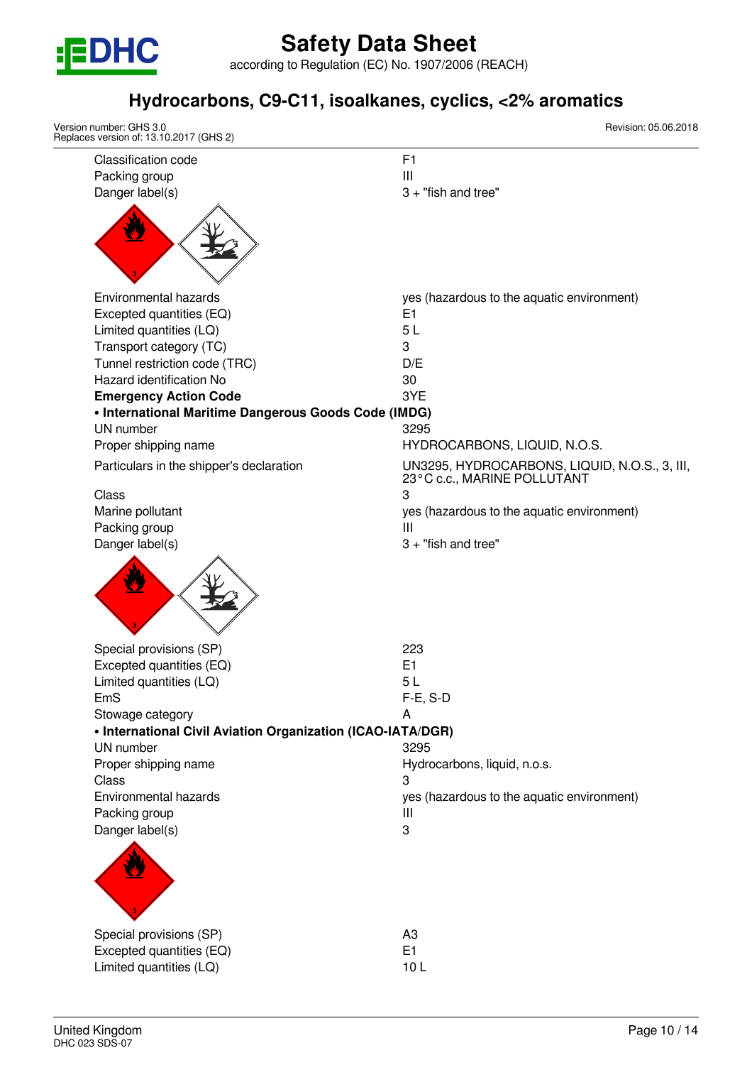

according to Regulation (EC) No. 1907/2006 (REACH)

## **Hydrocarbons, C9-C11, isoalkanes, cyclics, <2% aromatics**

| Version number: GHS 3.0<br>Replaces version of: 13.10.2017 (GHS 2) | Revision: 05.06.2018                                                         |
|--------------------------------------------------------------------|------------------------------------------------------------------------------|
| <b>Classification code</b>                                         | F <sub>1</sub>                                                               |
| Packing group                                                      | Ш                                                                            |
| Danger label(s)                                                    | $3 +$ "fish and tree"                                                        |
|                                                                    |                                                                              |
| Environmental hazards                                              | yes (hazardous to the aquatic environment)                                   |
| Excepted quantities (EQ)                                           | E <sub>1</sub>                                                               |
| Limited quantities (LQ)                                            | 5L                                                                           |
| Transport category (TC)                                            | 3                                                                            |
| Tunnel restriction code (TRC)                                      | D/E                                                                          |
| Hazard identification No                                           | 30                                                                           |
| <b>Emergency Action Code</b>                                       | 3YE                                                                          |
| • International Maritime Dangerous Goods Code (IMDG)               |                                                                              |
| UN number                                                          | 3295                                                                         |
| Proper shipping name                                               | HYDROCARBONS, LIQUID, N.O.S.                                                 |
| Particulars in the shipper's declaration                           | UN3295, HYDROCARBONS, LIQUID, N.O.S., 3, III,<br>23°C c.c., MARINE POLLUTANT |
| Class                                                              | 3                                                                            |
| Marine pollutant                                                   | yes (hazardous to the aquatic environment)                                   |
| Packing group                                                      | Ш                                                                            |
|                                                                    |                                                                              |
| Special provisions (SP)                                            | 223                                                                          |
| Excepted quantities (EQ)                                           | E1                                                                           |
| Limited quantities (LQ)                                            | 5 <sub>L</sub>                                                               |
| EmS                                                                | $F-E$ , S-D                                                                  |
| Stowage category                                                   | A                                                                            |
| • International Civil Aviation Organization (ICAO-IATA/DGR)        |                                                                              |
| UN number                                                          | 3295                                                                         |
| Proper shipping name                                               | Hydrocarbons, liquid, n.o.s.                                                 |
| Class                                                              | 3                                                                            |
| Environmental hazards                                              | yes (hazardous to the aquatic environment)                                   |
| Packing group                                                      | Ш                                                                            |
| Danger label(s)                                                    | 3                                                                            |
|                                                                    |                                                                              |
| Special provisions (SP)                                            | A <sub>3</sub>                                                               |
| Excepted quantities (EQ)                                           | E <sub>1</sub>                                                               |
| Limited quantities (LQ)                                            | 10L                                                                          |
|                                                                    |                                                                              |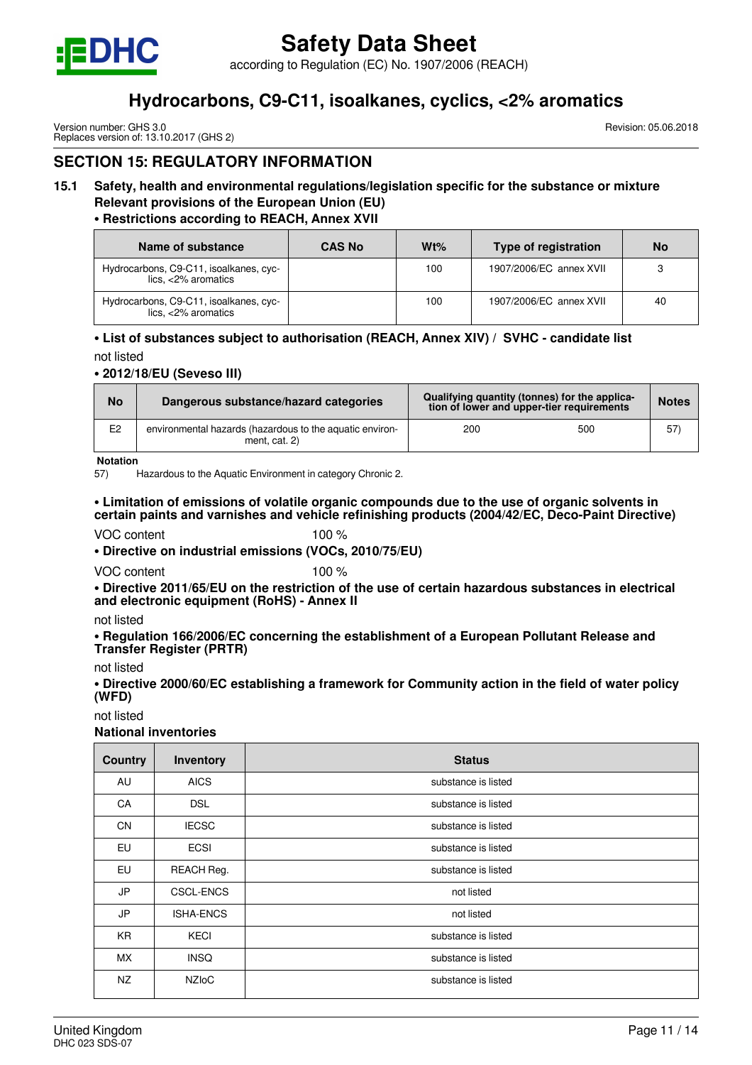

according to Regulation (EC) No. 1907/2006 (REACH)

## **Hydrocarbons, C9-C11, isoalkanes, cyclics, <2% aromatics**

Version number: GHS 3.0 Replaces version of: 13.10.2017 (GHS 2) Revision: 05.06.2018

## **SECTION 15: REGULATORY INFORMATION**

## **15.1 Safety, health and environmental regulations/legislation specific for the substance or mixture Relevant provisions of the European Union (EU)**

#### **• Restrictions according to REACH, Annex XVII**

| Name of substance                                                 | <b>CAS No</b> | Wt% | Type of registration    | <b>No</b> |
|-------------------------------------------------------------------|---------------|-----|-------------------------|-----------|
| Hydrocarbons, C9-C11, isoalkanes, cyc-<br>$lics. < 2\%$ aromatics |               | 100 | 1907/2006/EC annex XVII | 3         |
| Hydrocarbons, C9-C11, isoalkanes, cyc-<br>$lics, <2\%$ aromatics  |               | 100 | 1907/2006/EC annex XVII | 40        |

#### **• List of substances subject to authorisation (REACH, Annex XIV) / SVHC - candidate list**

not listed

#### **• 2012/18/EU (Seveso III)**

| <b>No</b>      | Dangerous substance/hazard categories                                       | Qualifying quantity (tonnes) for the applica-<br>tion of lower and upper-tier requirements |     | <b>Notes</b> |
|----------------|-----------------------------------------------------------------------------|--------------------------------------------------------------------------------------------|-----|--------------|
| E <sub>2</sub> | environmental hazards (hazardous to the aquatic environ-<br>ment. $cat. 2)$ | 200                                                                                        | 500 | 57           |

**Notation**

57) Hazardous to the Aquatic Environment in category Chronic 2.

#### **• Limitation of emissions of volatile organic compounds due to the use of organic solvents in certain paints and varnishes and vehicle refinishing products (2004/42/EC, Deco-Paint Directive)**

#### VOC content 100 %

**• Directive on industrial emissions (VOCs, 2010/75/EU)**

VOC content 100 %

**• Directive 2011/65/EU on the restriction of the use of certain hazardous substances in electrical and electronic equipment (RoHS) - Annex II**

not listed

**• Regulation 166/2006/EC concerning the establishment of a European Pollutant Release and Transfer Register (PRTR)**

not listed

**• Directive 2000/60/EC establishing a framework for Community action in the field of water policy (WFD)**

not listed

**National inventories**

| <b>Country</b> | Inventory        | <b>Status</b>       |
|----------------|------------------|---------------------|
| AU             | <b>AICS</b>      | substance is listed |
| CA             | <b>DSL</b>       | substance is listed |
| <b>CN</b>      | <b>IECSC</b>     | substance is listed |
| <b>EU</b>      | <b>ECSI</b>      | substance is listed |
| <b>EU</b>      | REACH Reg.       | substance is listed |
| JP             | <b>CSCL-ENCS</b> | not listed          |
| JP             | <b>ISHA-ENCS</b> | not listed          |
| KR.            | <b>KECI</b>      | substance is listed |
| <b>MX</b>      | <b>INSQ</b>      | substance is listed |
| NZ             | <b>NZIOC</b>     | substance is listed |
|                |                  |                     |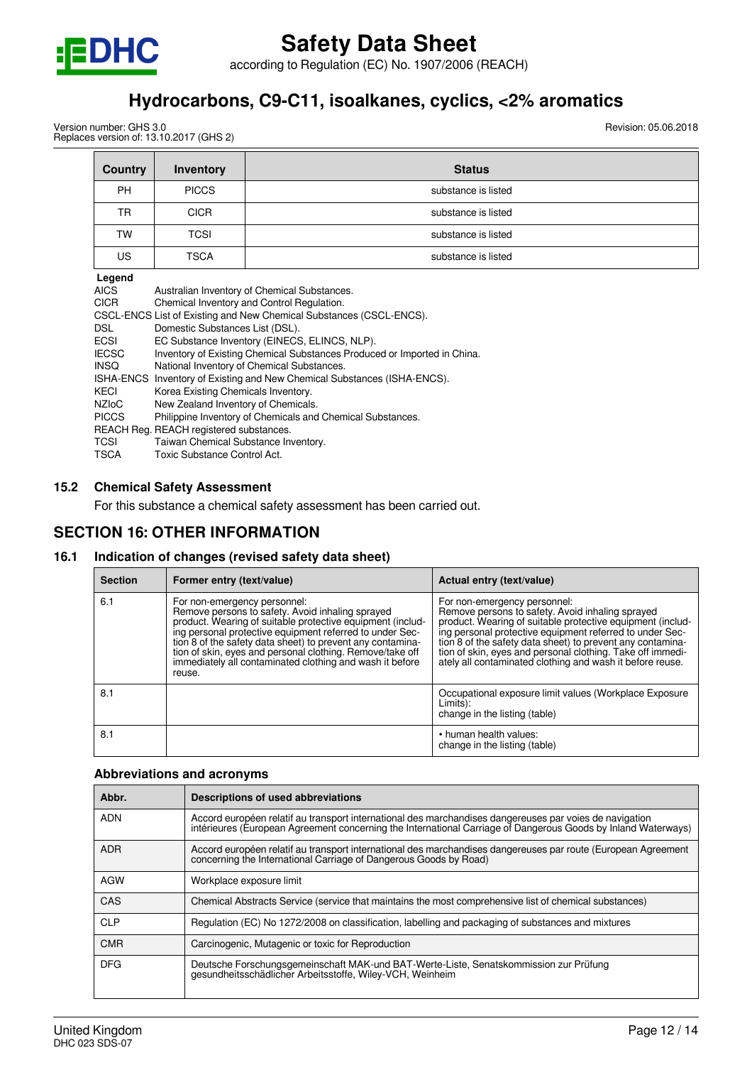

according to Regulation (EC) No. 1907/2006 (REACH)

## **Hydrocarbons, C9-C11, isoalkanes, cyclics, <2% aromatics**

Version number: GHS 3.0 Replaces version of: 13.10.2017 (GHS 2) Revision: 05.06.2018

| Country                                 | Inventory                                                           | <b>Status</b>                                                            |
|-----------------------------------------|---------------------------------------------------------------------|--------------------------------------------------------------------------|
| <b>PH</b>                               | <b>PICCS</b>                                                        | substance is listed                                                      |
| TR                                      | <b>CICR</b>                                                         | substance is listed                                                      |
| TW                                      | TCSI                                                                | substance is listed                                                      |
| <b>US</b>                               | <b>TSCA</b>                                                         | substance is listed                                                      |
| Legend                                  |                                                                     |                                                                          |
| <b>AICS</b>                             | Australian Inventory of Chemical Substances.                        |                                                                          |
| <b>CICR</b>                             | Chemical Inventory and Control Regulation.                          |                                                                          |
|                                         | CSCL-ENCS List of Existing and New Chemical Substances (CSCL-ENCS). |                                                                          |
| DSL.                                    | Domestic Substances List (DSL).                                     |                                                                          |
| <b>ECSI</b>                             |                                                                     | EC Substance Inventory (EINECS, ELINCS, NLP).                            |
| <b>IECSC</b>                            |                                                                     | Inventory of Existing Chemical Substances Produced or Imported in China. |
| <b>INSQ</b>                             | National Inventory of Chemical Substances.                          |                                                                          |
| <b>ISHA-ENCS</b>                        | Inventory of Existing and New Chemical Substances (ISHA-ENCS).      |                                                                          |
| KECI                                    | Korea Existing Chemicals Inventory.                                 |                                                                          |
| <b>NZIOC</b>                            | New Zealand Inventory of Chemicals.                                 |                                                                          |
| <b>PICCS</b>                            |                                                                     | Philippine Inventory of Chemicals and Chemical Substances.               |
| REACH Reg. REACH registered substances. |                                                                     |                                                                          |
| <b>TOOL</b>                             | — <u>— авглаве</u>                                                  |                                                                          |

- TCSI Taiwan Chemical Substance Inventory.<br>
TSCA Toxic Substance Control Act.
- Toxic Substance Control Act.

#### **15.2 Chemical Safety Assessment**

For this substance a chemical safety assessment has been carried out.

#### **SECTION 16: OTHER INFORMATION**

#### **16.1 Indication of changes (revised safety data sheet)**

| <b>Section</b> | Former entry (text/value)                                                                                                                                                                                                                                                                                                                                                                                   | Actual entry (text/value)                                                                                                                                                                                                                                                                                                                                                                           |
|----------------|-------------------------------------------------------------------------------------------------------------------------------------------------------------------------------------------------------------------------------------------------------------------------------------------------------------------------------------------------------------------------------------------------------------|-----------------------------------------------------------------------------------------------------------------------------------------------------------------------------------------------------------------------------------------------------------------------------------------------------------------------------------------------------------------------------------------------------|
| 6.1            | For non-emergency personnel:<br>Remove persons to safety. Avoid inhaling sprayed<br>product. Wearing of suitable protective equipment (includ-<br>ing personal protective equipment referred to under Sec-<br>tion 8 of the safety data sheet) to prevent any contamina-<br>tion of skin, eyes and personal clothing. Remove/take off<br>immediately all contaminated clothing and wash it before<br>reuse. | For non-emergency personnel:<br>Remove persons to safety. Avoid inhaling sprayed<br>product. Wearing of suitable protective equipment (includ-<br>ing personal protective equipment referred to under Sec-<br>tion 8 of the safety data sheet) to prevent any contamina-<br>tion of skin, eyes and personal clothing. Take off immedi-<br>ately all contaminated clothing and wash it before reuse. |
| 8.1            |                                                                                                                                                                                                                                                                                                                                                                                                             | Occupational exposure limit values (Workplace Exposure<br>Limits):<br>change in the listing (table)                                                                                                                                                                                                                                                                                                 |
| 8.1            |                                                                                                                                                                                                                                                                                                                                                                                                             | • human health values:<br>change in the listing (table)                                                                                                                                                                                                                                                                                                                                             |

#### **Abbreviations and acronyms**

| Abbr.      | Descriptions of used abbreviations                                                                                                                                                                                       |
|------------|--------------------------------------------------------------------------------------------------------------------------------------------------------------------------------------------------------------------------|
| <b>ADN</b> | Accord européen relatif au transport international des marchandises dangereuses par voies de navigation<br>intérieures (European Agreement concerning the International Carriage of Dangerous Goods by Inland Waterways) |
| <b>ADR</b> | Accord européen relatif au transport international des marchandises dangereuses par route (European Agreement<br>concerning the International Carriage of Dangerous Goods by Road)                                       |
| <b>AGW</b> | Workplace exposure limit                                                                                                                                                                                                 |
| CAS        | Chemical Abstracts Service (service that maintains the most comprehensive list of chemical substances)                                                                                                                   |
| <b>CLP</b> | Regulation (EC) No 1272/2008 on classification, labelling and packaging of substances and mixtures                                                                                                                       |
| <b>CMR</b> | Carcinogenic, Mutagenic or toxic for Reproduction                                                                                                                                                                        |
| <b>DFG</b> | Deutsche Forschungsgemeinschaft MAK-und BAT-Werte-Liste, Senatskommission zur Prüfung<br>gesundheitsschädlicher Arbeitsstoffe, Wiley-VCH, Weinheim                                                                       |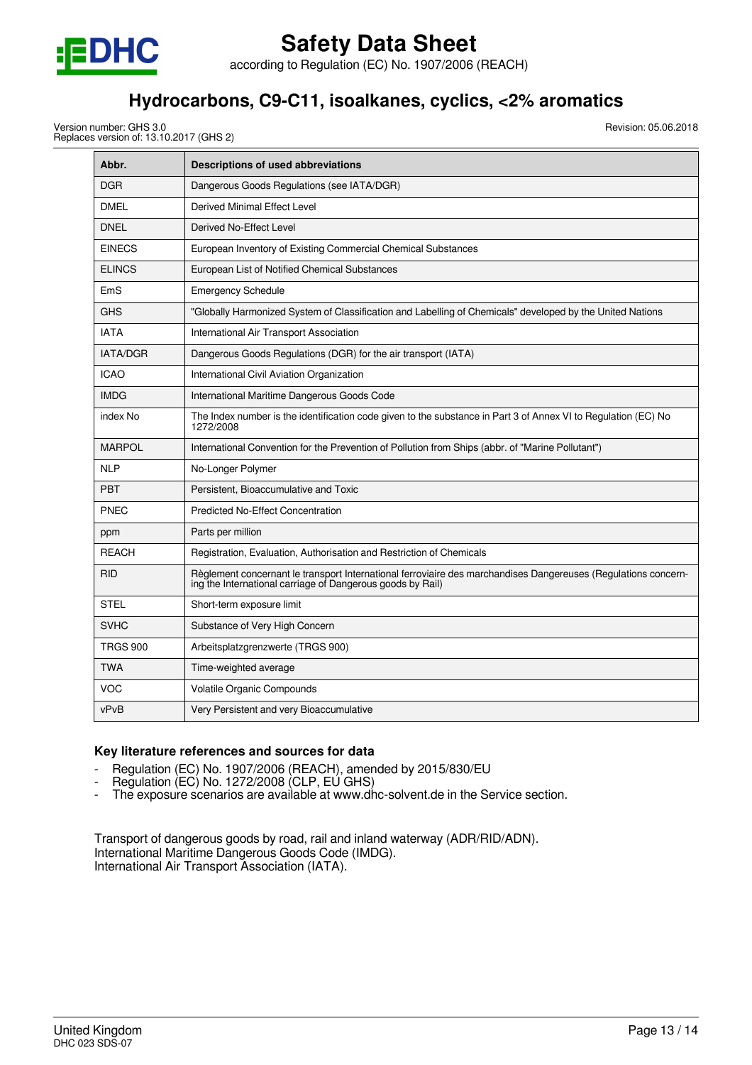

according to Regulation (EC) No. 1907/2006 (REACH)

## **Hydrocarbons, C9-C11, isoalkanes, cyclics, <2% aromatics**

Version number: GHS 3.0 Replaces version of: 13.10.2017 (GHS 2) Revision: 05.06.2018

| Abbr.           | <b>Descriptions of used abbreviations</b>                                                                                                                                    |
|-----------------|------------------------------------------------------------------------------------------------------------------------------------------------------------------------------|
| <b>DGR</b>      | Dangerous Goods Regulations (see IATA/DGR)                                                                                                                                   |
| <b>DMEL</b>     | Derived Minimal Effect Level                                                                                                                                                 |
| <b>DNEL</b>     | Derived No-Effect Level                                                                                                                                                      |
| <b>EINECS</b>   | European Inventory of Existing Commercial Chemical Substances                                                                                                                |
| <b>ELINCS</b>   | European List of Notified Chemical Substances                                                                                                                                |
| EmS             | <b>Emergency Schedule</b>                                                                                                                                                    |
| <b>GHS</b>      | "Globally Harmonized System of Classification and Labelling of Chemicals" developed by the United Nations                                                                    |
| <b>IATA</b>     | International Air Transport Association                                                                                                                                      |
| <b>IATA/DGR</b> | Dangerous Goods Regulations (DGR) for the air transport (IATA)                                                                                                               |
| <b>ICAO</b>     | International Civil Aviation Organization                                                                                                                                    |
| <b>IMDG</b>     | International Maritime Dangerous Goods Code                                                                                                                                  |
| index No        | The Index number is the identification code given to the substance in Part 3 of Annex VI to Regulation (EC) No<br>1272/2008                                                  |
| <b>MARPOL</b>   | International Convention for the Prevention of Pollution from Ships (abbr. of "Marine Pollutant")                                                                            |
| <b>NLP</b>      | No-Longer Polymer                                                                                                                                                            |
| <b>PBT</b>      | Persistent, Bioaccumulative and Toxic                                                                                                                                        |
| <b>PNEC</b>     | <b>Predicted No-Effect Concentration</b>                                                                                                                                     |
| ppm             | Parts per million                                                                                                                                                            |
| <b>REACH</b>    | Registration, Evaluation, Authorisation and Restriction of Chemicals                                                                                                         |
| <b>RID</b>      | Règlement concernant le transport International ferroviaire des marchandises Dangereuses (Regulations concern-<br>ing the International carriage of Dangerous goods by Rail) |
| <b>STEL</b>     | Short-term exposure limit                                                                                                                                                    |
| <b>SVHC</b>     | Substance of Very High Concern                                                                                                                                               |
| <b>TRGS 900</b> | Arbeitsplatzgrenzwerte (TRGS 900)                                                                                                                                            |
| <b>TWA</b>      | Time-weighted average                                                                                                                                                        |
| <b>VOC</b>      | Volatile Organic Compounds                                                                                                                                                   |
| vPvB            | Very Persistent and very Bioaccumulative                                                                                                                                     |

#### **Key literature references and sources for data**

- Regulation (EC) No. 1907/2006 (REACH), amended by 2015/830/EU
- Regulation (EC) No. 1272/2008 (CLP, EÚ GHS)
- The exposure scenarios are available at www.dhc-solvent.de in the Service section.

Transport of dangerous goods by road, rail and inland waterway (ADR/RID/ADN). International Maritime Dangerous Goods Code (IMDG). International Air Transport Association (IATA).